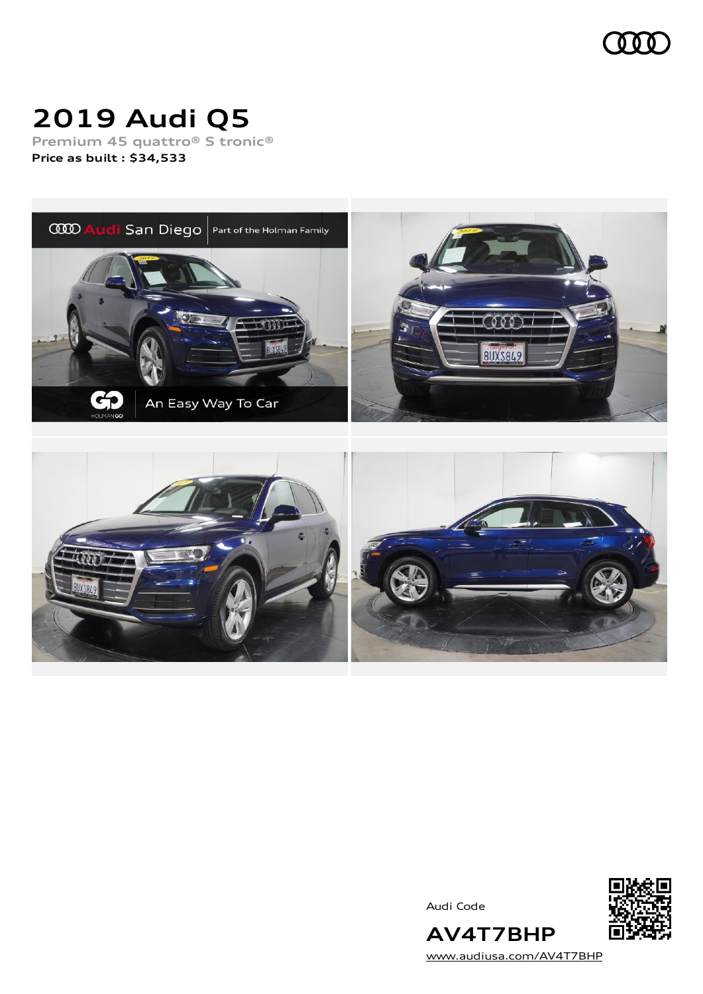

# **2019 Audi Q5**

**Premium 45 quattro® S tronic® Price as built [:](#page-10-0) \$34,533**



Audi Code



[www.audiusa.com/AV4T7BHP](https://www.audiusa.com/AV4T7BHP)

**AV4T7BHP**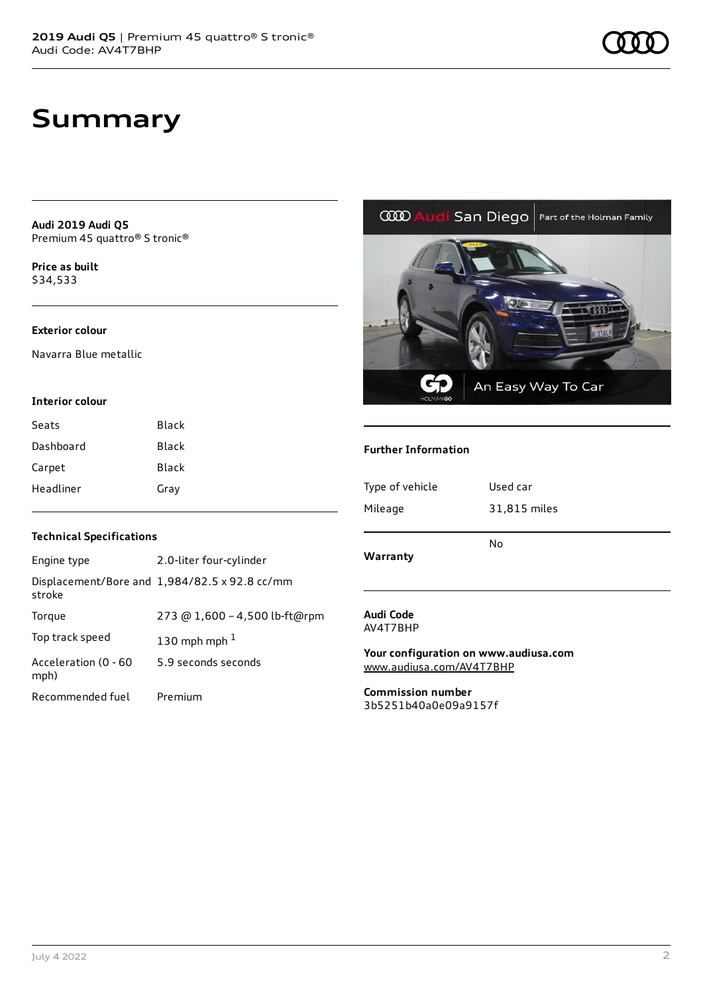**Audi 2019 Audi Q5** Premium 45 quattro® S tronic®

**Price as buil[t](#page-10-0)** \$34,533

### **Exterior colour**

Navarra Blue metallic

#### **Interior colour**

| Seats     | Black        |
|-----------|--------------|
| Dashboard | <b>Black</b> |
| Carpet    | Black        |
| Headliner | Gray         |

### **Technical Specifications**

| Engine type                  | 2.0-liter four-cylinder                       |
|------------------------------|-----------------------------------------------|
| stroke                       | Displacement/Bore and 1,984/82.5 x 92.8 cc/mm |
| Torque                       | 273 @ 1,600 - 4,500 lb-ft@rpm                 |
| Top track speed              | 130 mph mph $1$                               |
| Acceleration (0 - 60<br>mph) | 5.9 seconds seconds                           |
| Recommended fuel             | Premium                                       |

#### **COD Audi** San Diego | Part of the Holman Family



### **Further Information**

| Type of vehicle | Used car     |
|-----------------|--------------|
| Mileage         | 31,815 miles |
| Warranty        | No           |

#### **Audi Code** AV4T7BHP

**Your configuration on www.audiusa.com** [www.audiusa.com/AV4T7BHP](https://www.audiusa.com/AV4T7BHP)

**Commission number** 3b5251b40a0e09a9157f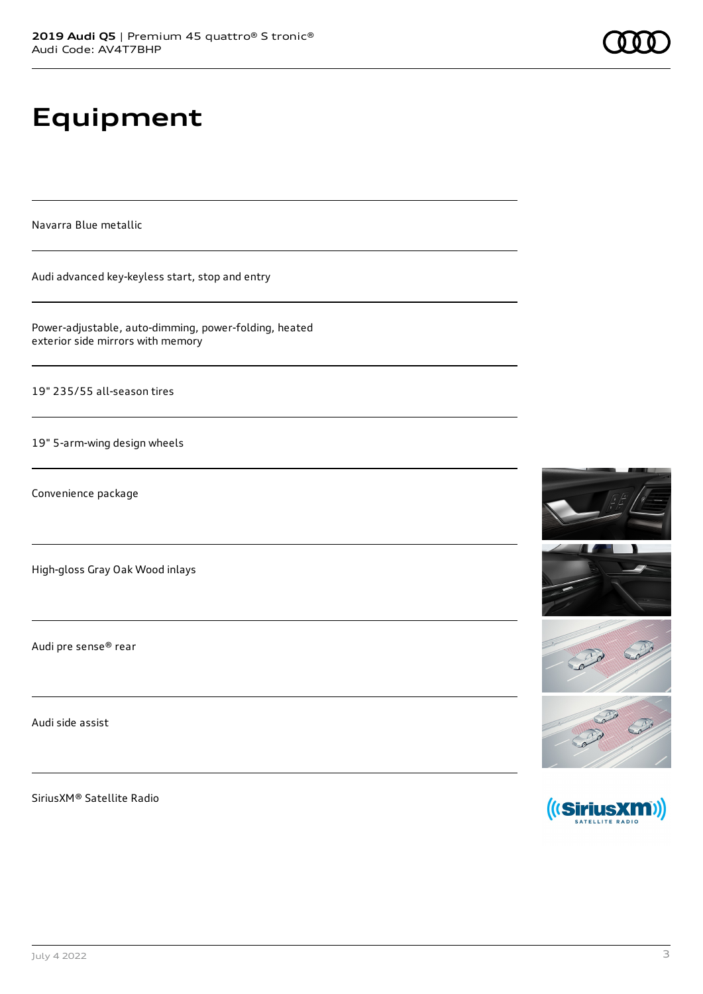# **Equipment**

Navarra Blue metallic

Audi advanced key-keyless start, stop and entry

Power-adjustable, auto-dimming, power-folding, heated exterior side mirrors with memory

19" 235/55 all-season tires

19" 5-arm-wing design wheels

Convenience package

High-gloss Gray Oak Wood inlays

Audi pre sense® rear

Audi side assist

SiriusXM® Satellite Radio





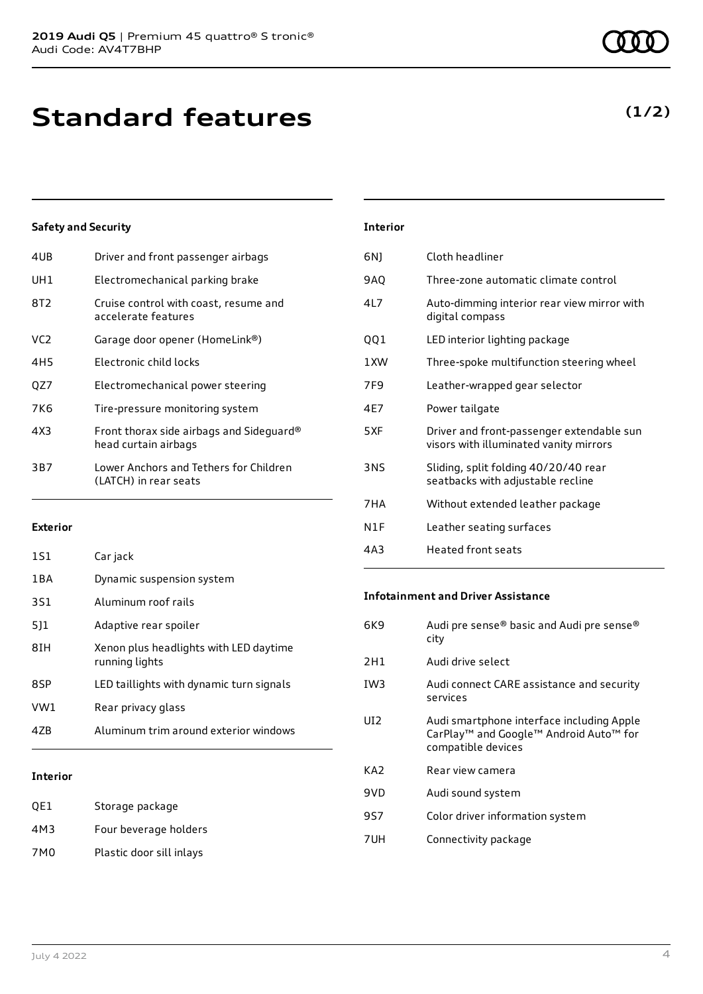| 4UB | Driver and front passenger airbags                               |
|-----|------------------------------------------------------------------|
| UH1 | Electromechanical parking brake                                  |
| 8T2 | Cruise control with coast, resume and<br>accelerate features     |
| VC2 | Garage door opener (HomeLink®)                                   |
| 4H5 | Electronic child locks                                           |
| QZ7 | Electromechanical power steering                                 |
| 7K6 | Tire-pressure monitoring system                                  |
| 4X3 | Front thorax side airbags and Sideguard®<br>head curtain airbags |
| 3B7 | Lower Anchors and Tethers for Children<br>(LATCH) in rear seats  |
|     |                                                                  |

#### **Exterior**

| Interior |                                                          |
|----------|----------------------------------------------------------|
| 47B      | Aluminum trim around exterior windows                    |
| VW1      | Rear privacy glass                                       |
| 8SP      | LED taillights with dynamic turn signals                 |
| 8IH      | Xenon plus headlights with LED daytime<br>running lights |
| 511      | Adaptive rear spoiler                                    |
| 3S1      | Aluminum roof rails                                      |
| 1BA      | Dynamic suspension system                                |
| 1S1      | Car jack                                                 |

#### **Interior**

| OE1 | Storage package          |
|-----|--------------------------|
| 4M3 | Four beverage holders    |
| 7M0 | Plastic door sill inlays |

| 6N) | Cloth headliner                                                                     |
|-----|-------------------------------------------------------------------------------------|
| 9AQ | Three-zone automatic climate control                                                |
| 4L7 | Auto-dimming interior rear view mirror with<br>digital compass                      |
| QQ1 | LED interior lighting package                                                       |
| 1XW | Three-spoke multifunction steering wheel                                            |
| 7F9 | Leather-wrapped gear selector                                                       |
| 4E7 | Power tailgate                                                                      |
| 5XF | Driver and front-passenger extendable sun<br>visors with illuminated vanity mirrors |
| 3NS | Sliding, split folding 40/20/40 rear<br>seatbacks with adjustable recline           |
| 7HA | Without extended leather package                                                    |

- N1F Leather seating surfaces
- 4A3 Heated front seats

**Interior**

#### **Infotainment and Driver Assistance**

| 6K9             | Audi pre sense® basic and Audi pre sense®<br>city                                                                     |
|-----------------|-----------------------------------------------------------------------------------------------------------------------|
| 2H1             | Audi drive select                                                                                                     |
| IW <sub>3</sub> | Audi connect CARE assistance and security<br>services                                                                 |
| UI2             | Audi smartphone interface including Apple<br>CarPlay <sup>™</sup> and Google™ Android Auto™ for<br>compatible devices |
| KA2             | Rear view camera                                                                                                      |
| 9VD             | Audi sound system                                                                                                     |
| 9S7             | Color driver information system                                                                                       |
| 7UH             | Connectivity package                                                                                                  |
|                 |                                                                                                                       |

### **(1/2)**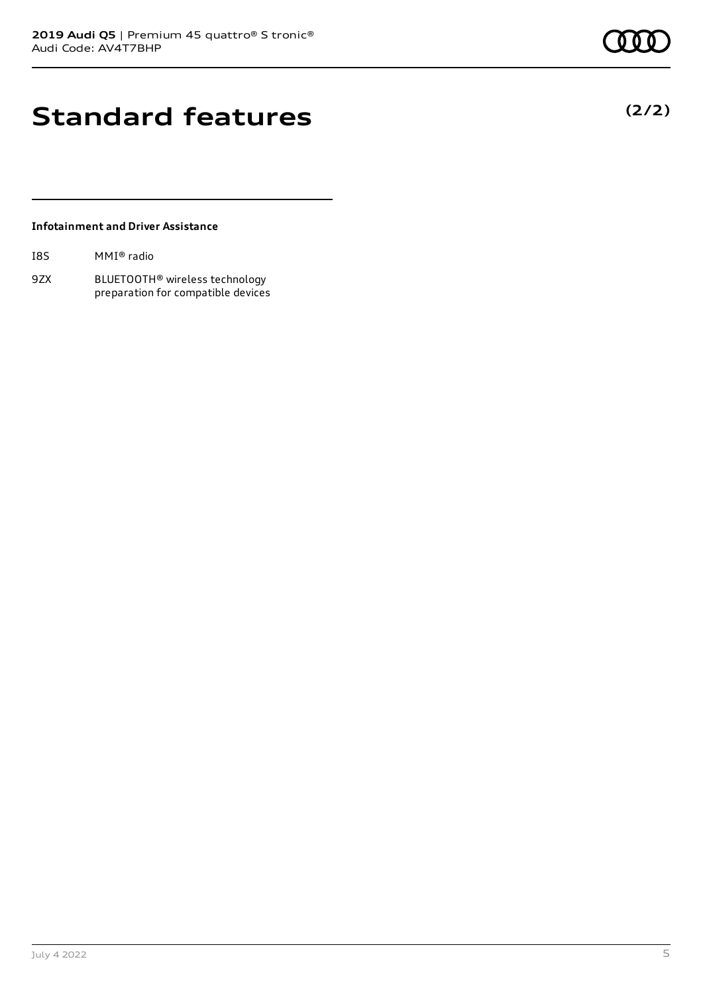## **Standard features**

### **Infotainment and Driver Assistance**

| I8S | MMI® radio |  |
|-----|------------|--|
|-----|------------|--|

9ZX BLUETOOTH® wireless technology preparation for compatible devices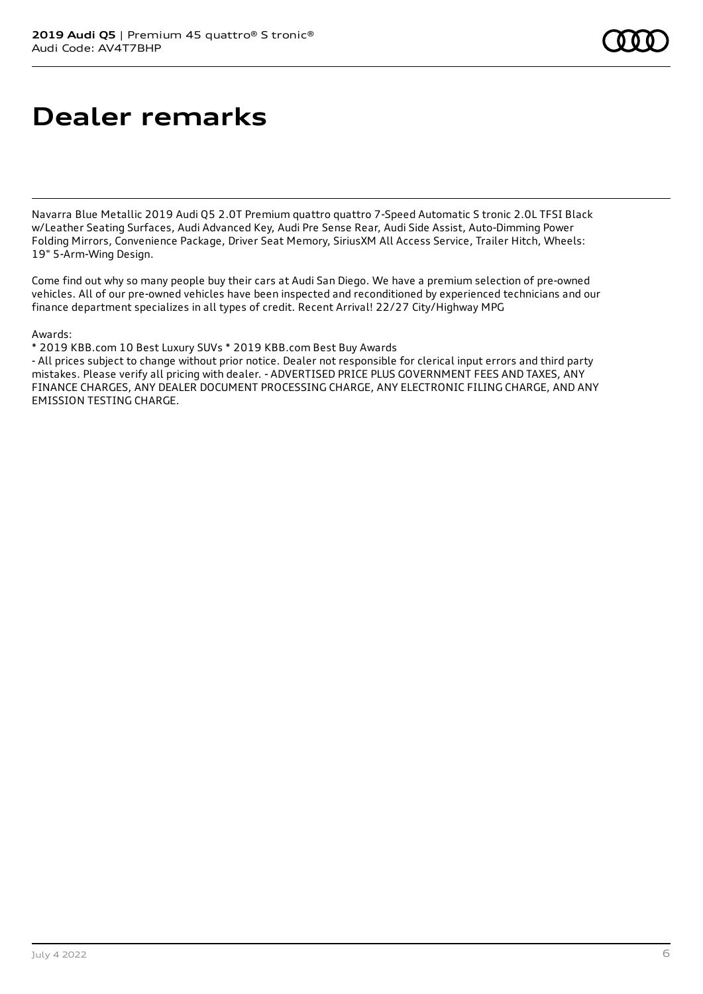## **Dealer remarks**

Navarra Blue Metallic 2019 Audi Q5 2.0T Premium quattro quattro 7-Speed Automatic S tronic 2.0L TFSI Black w/Leather Seating Surfaces, Audi Advanced Key, Audi Pre Sense Rear, Audi Side Assist, Auto-Dimming Power Folding Mirrors, Convenience Package, Driver Seat Memory, SiriusXM All Access Service, Trailer Hitch, Wheels: 19" 5-Arm-Wing Design.

Come find out why so many people buy their cars at Audi San Diego. We have a premium selection of pre-owned vehicles. All of our pre-owned vehicles have been inspected and reconditioned by experienced technicians and our finance department specializes in all types of credit. Recent Arrival! 22/27 City/Highway MPG

Awards:

\* 2019 KBB.com 10 Best Luxury SUVs \* 2019 KBB.com Best Buy Awards

- All prices subject to change without prior notice. Dealer not responsible for clerical input errors and third party mistakes. Please verify all pricing with dealer. - ADVERTISED PRICE PLUS GOVERNMENT FEES AND TAXES, ANY FINANCE CHARGES, ANY DEALER DOCUMENT PROCESSING CHARGE, ANY ELECTRONIC FILING CHARGE, AND ANY EMISSION TESTING CHARGE.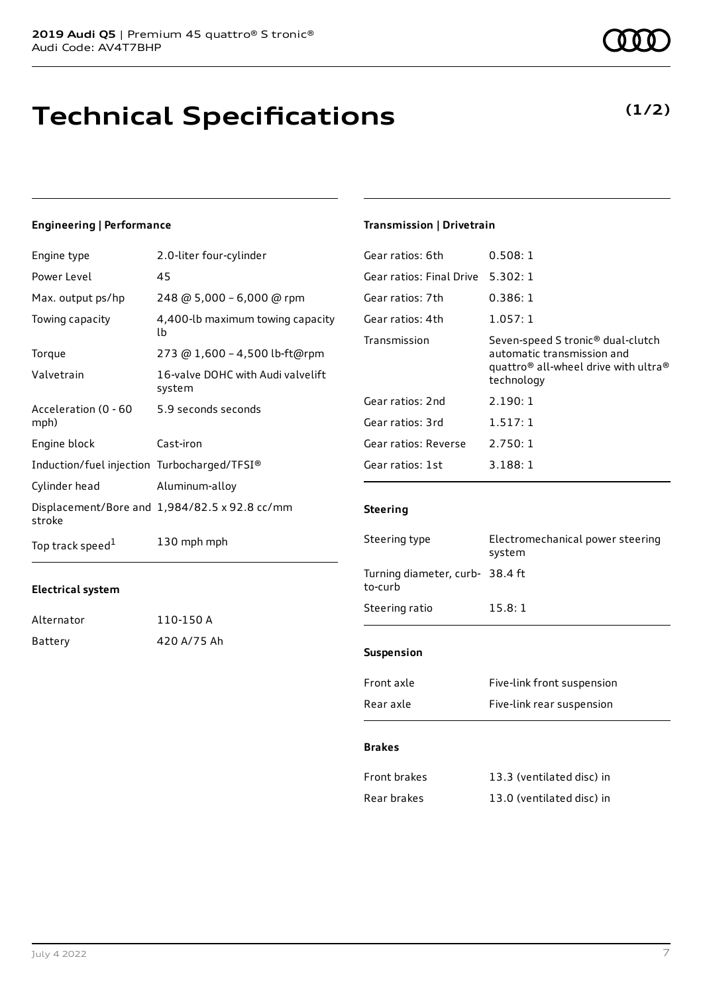### **Technical Specifications**

#### **Engineering | Performance**

| Engine type                                 | 2.0-liter four-cylinder                       |
|---------------------------------------------|-----------------------------------------------|
| Power Level                                 | 45                                            |
| Max. output ps/hp                           | 248 @ 5,000 - 6,000 @ rpm                     |
| Towing capacity                             | 4,400-lb maximum towing capacity<br>lb        |
| Torque                                      | 273 @ 1,600 - 4,500 lb-ft@rpm                 |
| Valvetrain                                  | 16-valve DOHC with Audi valvelift<br>system   |
| Acceleration (0 - 60<br>mph)                | 5.9 seconds seconds                           |
| Engine block                                | Cast-iron                                     |
| Induction/fuel injection Turbocharged/TFSI® |                                               |
| Cylinder head                               | Aluminum-alloy                                |
| stroke                                      | Displacement/Bore and 1,984/82.5 x 92.8 cc/mm |
| Top track speed <sup>1</sup>                | 130 mph mph                                   |

### **Electrical system**

| Alternator | 110-150 A   |
|------------|-------------|
| Battery    | 420 A/75 Ah |

### **Transmission | Drivetrain**

| Gear ratios: 6th         | 0.508:1                                                                                                                                                   |
|--------------------------|-----------------------------------------------------------------------------------------------------------------------------------------------------------|
| Gear ratios: Final Drive | 5.302:1                                                                                                                                                   |
| Gear ratios: 7th         | 0.386:1                                                                                                                                                   |
| Gear ratios: 4th         | 1.057:1                                                                                                                                                   |
| Transmission             | Seven-speed S tronic <sup>®</sup> dual-clutch<br>automatic transmission and<br>quattro <sup>®</sup> all-wheel drive with ultra <sup>®</sup><br>technology |
| Gear ratios: 2nd         | 2.190:1                                                                                                                                                   |
| Gear ratios: 3rd         | 1.517:1                                                                                                                                                   |
| Gear ratios: Reverse     | 2.750:1                                                                                                                                                   |
| Gear ratios: 1st         | 3.188:1                                                                                                                                                   |
|                          |                                                                                                                                                           |

### **Steering**

| Steering type                              | Electromechanical power steering<br>system<br>15.8:1 |  |
|--------------------------------------------|------------------------------------------------------|--|
| Turning diameter, curb- 38.4 ft<br>to-curb |                                                      |  |
| Steering ratio                             |                                                      |  |
| <b>Suspension</b>                          |                                                      |  |
| Front axle                                 | Five-link front suspension                           |  |
| Rear axle                                  | Five-link rear suspension                            |  |

#### **Brakes**

| Front brakes | 13.3 (ventilated disc) in |
|--------------|---------------------------|
| Rear brakes  | 13.0 (ventilated disc) in |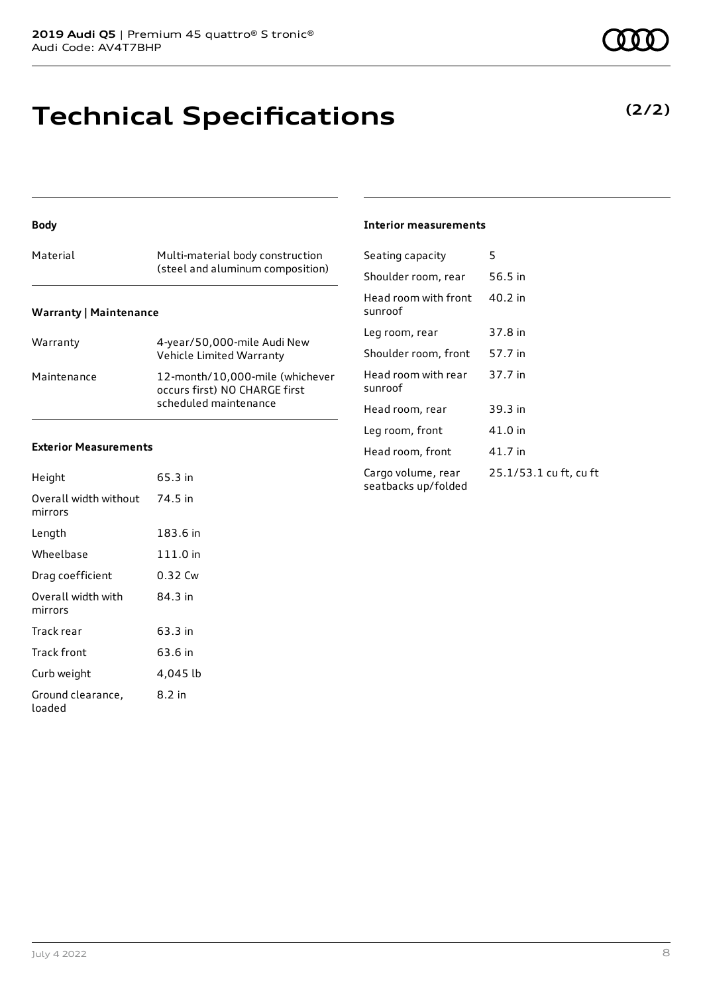### **Technical Specifications**

### Material Multi-material body construction (steel and aluminum composition) **Warranty | Maintenance**

**Body**

| Warranty    | 4-year/50,000-mile Audi New<br>Vehicle Limited Warranty                                   |
|-------------|-------------------------------------------------------------------------------------------|
| Maintenance | 12-month/10,000-mile (whichever<br>occurs first) NO CHARGE first<br>scheduled maintenance |

### **Exterior Measurements**

| Height                           | 65.3 in  |
|----------------------------------|----------|
| Overall width without<br>mirrors | 74.5 in  |
| Length                           | 183.6 in |
| Wheelbase                        | 111.0 in |
| Drag coefficient                 | 0.32 Cw  |
| Overall width with<br>mirrors    | 84.3 in  |
| Track rear                       | 63.3 in  |
| Track front                      | 63.6 in  |
| Curb weight                      | 4,045 lb |
| Ground clearance,<br>loaded      | 8.2 in   |

### **Interior measurements**

| Seating capacity                          | 5                      |
|-------------------------------------------|------------------------|
| Shoulder room, rear                       | 56.5 in                |
| Head room with front<br>sunroof           | 40.2 in                |
| Leg room, rear                            | 37.8 in                |
| Shoulder room, front                      | 57.7 in                |
| Head room with rear<br>sunroof            | 37.7 in                |
| Head room, rear                           | 39.3 in                |
| Leg room, front                           | 41.0 in                |
| Head room, front                          | 41.7 in                |
| Cargo volume, rear<br>seatbacks up/folded | 25.1/53.1 cu ft, cu ft |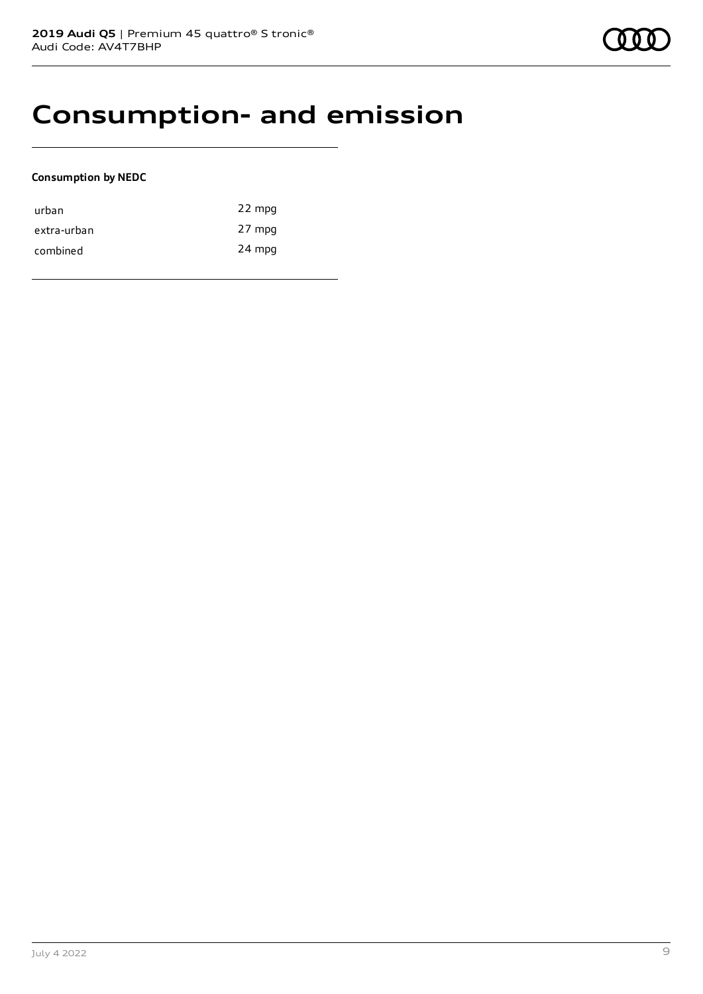### **Consumption- and emission**

### **Consumption by NEDC**

| urban       | 22 mpg |
|-------------|--------|
| extra-urban | 27 mpg |
| combined    | 24 mpg |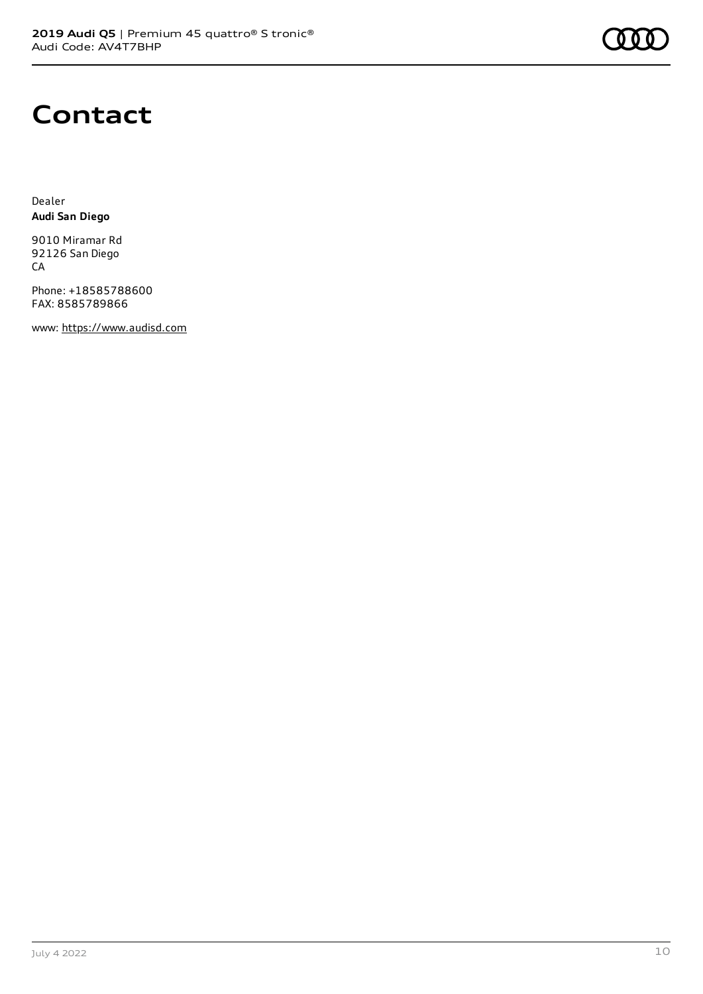

### **Contact**

Dealer **Audi San Diego**

9010 Miramar Rd 92126 San Diego CA

Phone: +18585788600 FAX: 8585789866

www: [https://www.audisd.com](https://www.audisd.com/)